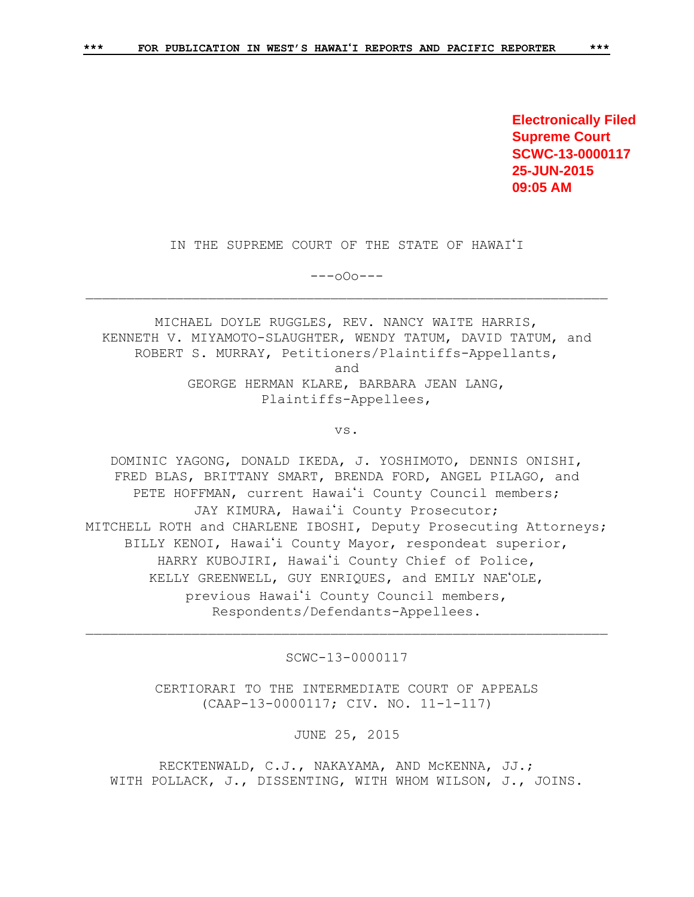**Electronically Filed Supreme Court SCWC-13-0000117 25-JUN-2015 09:05 AM**

IN THE SUPREME COURT OF THE STATE OF HAWAI'I

---oOo---

MICHAEL DOYLE RUGGLES, REV. NANCY WAITE HARRIS, KENNETH V. MIYAMOTO-SLAUGHTER, WENDY TATUM, DAVID TATUM, and ROBERT S. MURRAY, Petitioners/Plaintiffs-Appellants, and GEORGE HERMAN KLARE, BARBARA JEAN LANG, Plaintiffs-Appellees,

vs.

DOMINIC YAGONG, DONALD IKEDA, J. YOSHIMOTO, DENNIS ONISHI, FRED BLAS, BRITTANY SMART, BRENDA FORD, ANGEL PILAGO, and PETE HOFFMAN, current Hawai'i County Council members; JAY KIMURA, Hawai'i County Prosecutor; MITCHELL ROTH and CHARLENE IBOSHI, Deputy Prosecuting Attorneys; BILLY KENOI, Hawai'i County Mayor, respondeat superior, HARRY KUBOJIRI, Hawai'i County Chief of Police, KELLY GREENWELL, GUY ENRIQUES, and EMILY NAE'OLE, previous Hawai'i County Council members, Respondents/Defendants-Appellees.

SCWC-13-0000117

CERTIORARI TO THE INTERMEDIATE COURT OF APPEALS (CAAP-13-0000117; CIV. NO. 11-1-117)

JUNE 25, 2015

RECKTENWALD, C.J., NAKAYAMA, AND McKENNA, JJ.; WITH POLLACK, J., DISSENTING, WITH WHOM WILSON, J., JOINS.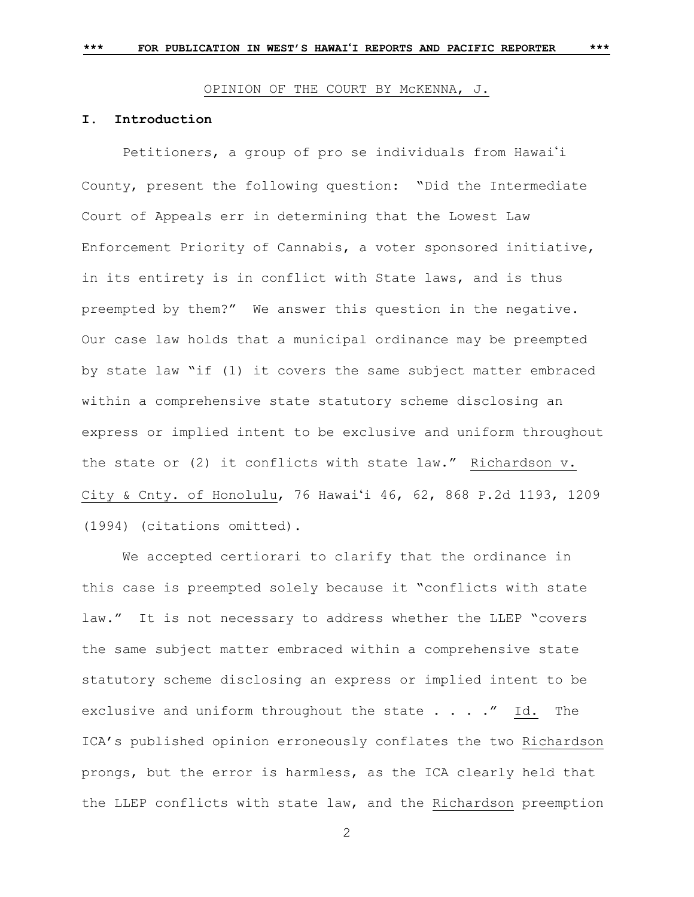## OPINION OF THE COURT BY McKENNA, J.

# **I. Introduction**

Petitioners, a group of pro se individuals from Hawai'i County, present the following question: "Did the Intermediate Court of Appeals err in determining that the Lowest Law Enforcement Priority of Cannabis, a voter sponsored initiative, in its entirety is in conflict with State laws, and is thus preempted by them?" We answer this question in the negative. Our case law holds that a municipal ordinance may be preempted by state law "if (1) it covers the same subject matter embraced within a comprehensive state statutory scheme disclosing an express or implied intent to be exclusive and uniform throughout the state or (2) it conflicts with state law." Richardson v. City & Cnty. of Honolulu, 76 Hawaiʻi 46, 62, 868 P.2d 1193, 1209 (1994) (citations omitted).

We accepted certiorari to clarify that the ordinance in this case is preempted solely because it "conflicts with state law." It is not necessary to address whether the LLEP "covers the same subject matter embraced within a comprehensive state statutory scheme disclosing an express or implied intent to be exclusive and uniform throughout the state . . . ." Id. The ICA's published opinion erroneously conflates the two Richardson prongs, but the error is harmless, as the ICA clearly held that the LLEP conflicts with state law, and the Richardson preemption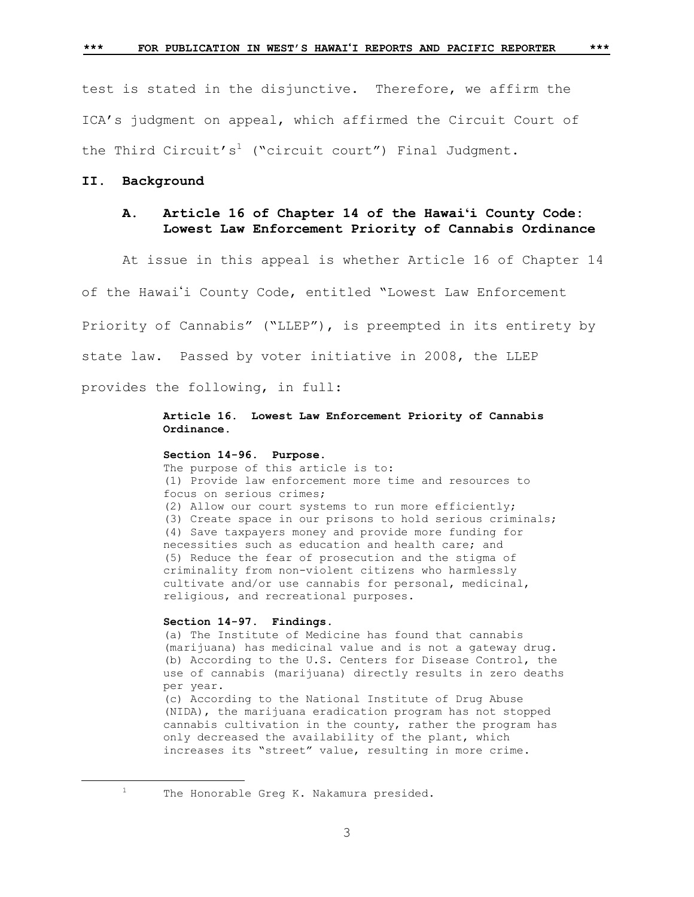test is stated in the disjunctive. Therefore, we affirm the ICA's judgment on appeal, which affirmed the Circuit Court of the Third Circuit's<sup>1</sup> ("circuit court") Final Judgment.

# **II. Background**

# **A. Article 16 of Chapter 14 of the Hawaiʻi County Code: Lowest Law Enforcement Priority of Cannabis Ordinance**

At issue in this appeal is whether Article 16 of Chapter 14

of the Hawaii County Code, entitled "Lowest Law Enforcement

Priority of Cannabis" ("LLEP"), is preempted in its entirety by

state law. Passed by voter initiative in 2008, the LLEP

provides the following, in full:

## **Article 16. Lowest Law Enforcement Priority of Cannabis Ordinance.**

## **Section 14-96. Purpose.**

The purpose of this article is to: (1) Provide law enforcement more time and resources to focus on serious crimes; (2) Allow our court systems to run more efficiently; (3) Create space in our prisons to hold serious criminals; (4) Save taxpayers money and provide more funding for necessities such as education and health care; and (5) Reduce the fear of prosecution and the stigma of criminality from non-violent citizens who harmlessly cultivate and/or use cannabis for personal, medicinal, religious, and recreational purposes.

#### **Section 14-97. Findings.**

(a) The Institute of Medicine has found that cannabis (marijuana) has medicinal value and is not a gateway drug. (b) According to the U.S. Centers for Disease Control, the use of cannabis (marijuana) directly results in zero deaths per year.

(c) According to the National Institute of Drug Abuse (NIDA), the marijuana eradication program has not stopped cannabis cultivation in the county, rather the program has only decreased the availability of the plant, which increases its "street" value, resulting in more crime.

L,

<sup>1</sup> The Honorable Greg K. Nakamura presided.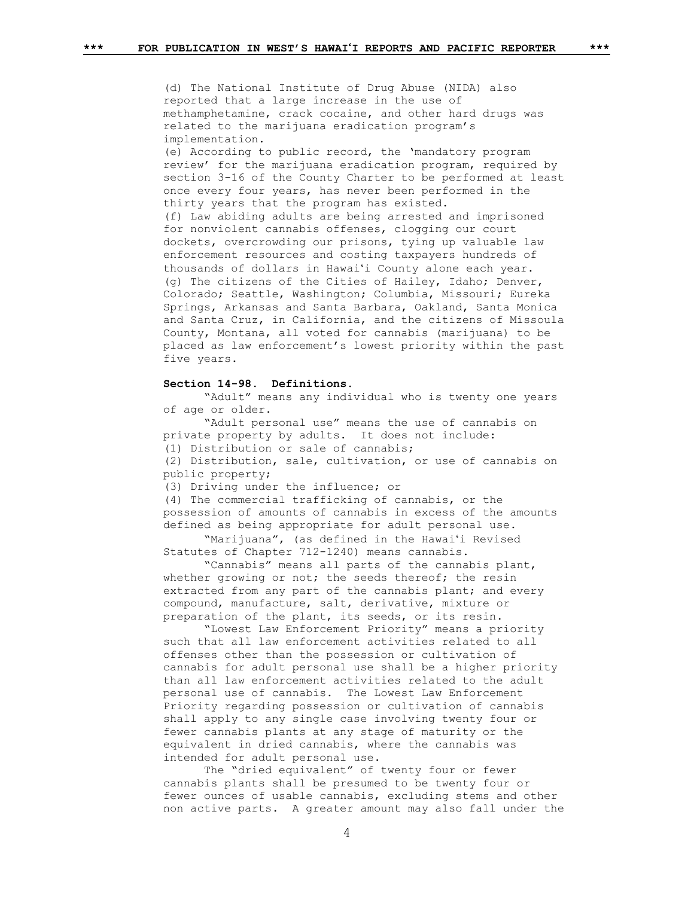(d) The National Institute of Drug Abuse (NIDA) also reported that a large increase in the use of methamphetamine, crack cocaine, and other hard drugs was related to the marijuana eradication program's implementation.

(e) According to public record, the 'mandatory program review' for the marijuana eradication program, required by section 3-16 of the County Charter to be performed at least once every four years, has never been performed in the thirty years that the program has existed. (f) Law abiding adults are being arrested and imprisoned for nonviolent cannabis offenses, clogging our court dockets, overcrowding our prisons, tying up valuable law enforcement resources and costing taxpayers hundreds of thousands of dollars in Hawaiʻi County alone each year. (g) The citizens of the Cities of Hailey, Idaho; Denver, Colorado; Seattle, Washington; Columbia, Missouri; Eureka Springs, Arkansas and Santa Barbara, Oakland, Santa Monica and Santa Cruz, in California, and the citizens of Missoula County, Montana, all voted for cannabis (marijuana) to be placed as law enforcement's lowest priority within the past five years.

#### **Section 14-98. Definitions.**

"Adult" means any individual who is twenty one years of age or older.

"Adult personal use" means the use of cannabis on private property by adults. It does not include:

(1) Distribution or sale of cannabis;

(2) Distribution, sale, cultivation, or use of cannabis on public property;

(3) Driving under the influence; or

(4) The commercial trafficking of cannabis, or the possession of amounts of cannabis in excess of the amounts defined as being appropriate for adult personal use.

"Marijuana", (as defined in the Hawaiʻi Revised Statutes of Chapter 712-1240) means cannabis.

"Cannabis" means all parts of the cannabis plant, whether growing or not; the seeds thereof; the resin extracted from any part of the cannabis plant; and every compound, manufacture, salt, derivative, mixture or preparation of the plant, its seeds, or its resin.

"Lowest Law Enforcement Priority" means a priority such that all law enforcement activities related to all offenses other than the possession or cultivation of cannabis for adult personal use shall be a higher priority than all law enforcement activities related to the adult personal use of cannabis. The Lowest Law Enforcement Priority regarding possession or cultivation of cannabis shall apply to any single case involving twenty four or fewer cannabis plants at any stage of maturity or the equivalent in dried cannabis, where the cannabis was intended for adult personal use.

The "dried equivalent" of twenty four or fewer cannabis plants shall be presumed to be twenty four or fewer ounces of usable cannabis, excluding stems and other non active parts. A greater amount may also fall under the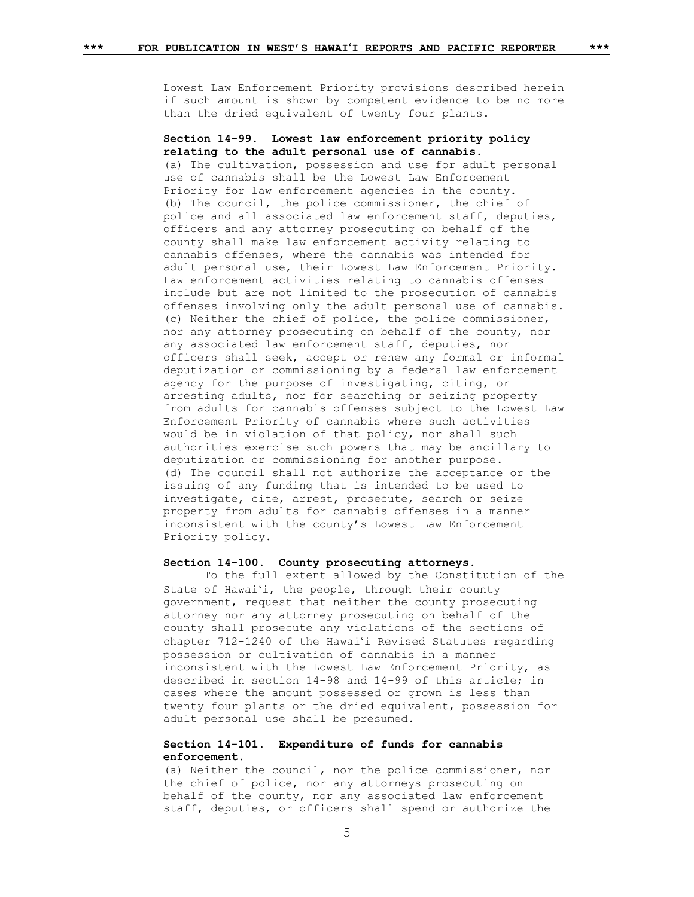Lowest Law Enforcement Priority provisions described herein if such amount is shown by competent evidence to be no more than the dried equivalent of twenty four plants.

## **Section 14-99. Lowest law enforcement priority policy relating to the adult personal use of cannabis.**

(a) The cultivation, possession and use for adult personal use of cannabis shall be the Lowest Law Enforcement Priority for law enforcement agencies in the county. (b) The council, the police commissioner, the chief of police and all associated law enforcement staff, deputies, officers and any attorney prosecuting on behalf of the county shall make law enforcement activity relating to cannabis offenses, where the cannabis was intended for adult personal use, their Lowest Law Enforcement Priority. Law enforcement activities relating to cannabis offenses include but are not limited to the prosecution of cannabis offenses involving only the adult personal use of cannabis. (c) Neither the chief of police, the police commissioner, nor any attorney prosecuting on behalf of the county, nor any associated law enforcement staff, deputies, nor officers shall seek, accept or renew any formal or informal deputization or commissioning by a federal law enforcement agency for the purpose of investigating, citing, or arresting adults, nor for searching or seizing property from adults for cannabis offenses subject to the Lowest Law Enforcement Priority of cannabis where such activities would be in violation of that policy, nor shall such authorities exercise such powers that may be ancillary to deputization or commissioning for another purpose. (d) The council shall not authorize the acceptance or the issuing of any funding that is intended to be used to investigate, cite, arrest, prosecute, search or seize property from adults for cannabis offenses in a manner inconsistent with the county's Lowest Law Enforcement Priority policy.

#### **Section 14-100. County prosecuting attorneys.**

To the full extent allowed by the Constitution of the State of Hawaiʻi, the people, through their county government, request that neither the county prosecuting attorney nor any attorney prosecuting on behalf of the county shall prosecute any violations of the sections of chapter 712-1240 of the Hawaiʻi Revised Statutes regarding possession or cultivation of cannabis in a manner inconsistent with the Lowest Law Enforcement Priority, as described in section 14-98 and 14-99 of this article; in cases where the amount possessed or grown is less than twenty four plants or the dried equivalent, possession for adult personal use shall be presumed.

### **Section 14-101. Expenditure of funds for cannabis enforcement.**

(a) Neither the council, nor the police commissioner, nor the chief of police, nor any attorneys prosecuting on behalf of the county, nor any associated law enforcement staff, deputies, or officers shall spend or authorize the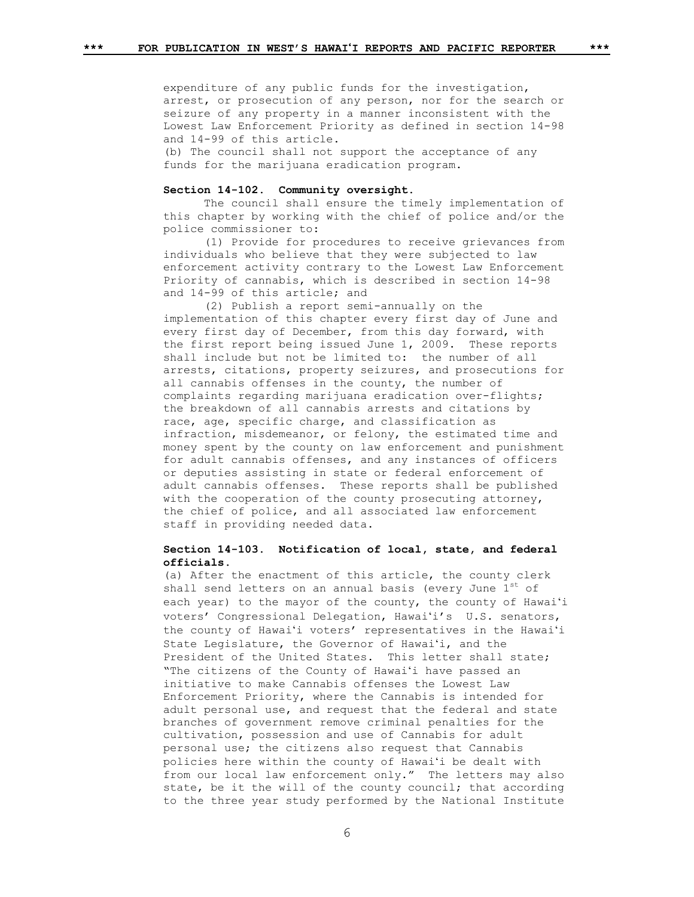expenditure of any public funds for the investigation, arrest, or prosecution of any person, nor for the search or seizure of any property in a manner inconsistent with the Lowest Law Enforcement Priority as defined in section 14-98 and 14-99 of this article.

(b) The council shall not support the acceptance of any funds for the marijuana eradication program.

# **Section 14-102. Community oversight.**

The council shall ensure the timely implementation of this chapter by working with the chief of police and/or the police commissioner to:

(1) Provide for procedures to receive grievances from individuals who believe that they were subjected to law enforcement activity contrary to the Lowest Law Enforcement Priority of cannabis, which is described in section 14-98 and 14-99 of this article; and

(2) Publish a report semi-annually on the implementation of this chapter every first day of June and every first day of December, from this day forward, with the first report being issued June 1, 2009. These reports shall include but not be limited to: the number of all arrests, citations, property seizures, and prosecutions for all cannabis offenses in the county, the number of complaints regarding marijuana eradication over-flights; the breakdown of all cannabis arrests and citations by race, age, specific charge, and classification as infraction, misdemeanor, or felony, the estimated time and money spent by the county on law enforcement and punishment for adult cannabis offenses, and any instances of officers or deputies assisting in state or federal enforcement of adult cannabis offenses. These reports shall be published with the cooperation of the county prosecuting attorney, the chief of police, and all associated law enforcement staff in providing needed data.

# **Section 14-103. Notification of local, state, and federal officials.**

(a) After the enactment of this article, the county clerk shall send letters on an annual basis (every June 1st of each year) to the mayor of the county, the county of Hawaiʻi voters' Congressional Delegation, Hawaiʻi's U.S. senators, the county of Hawaiʻi voters' representatives in the Hawaiʻi State Legislature, the Governor of Hawaiʻi, and the President of the United States. This letter shall state; "The citizens of the County of Hawaiʻi have passed an initiative to make Cannabis offenses the Lowest Law Enforcement Priority, where the Cannabis is intended for adult personal use, and request that the federal and state branches of government remove criminal penalties for the cultivation, possession and use of Cannabis for adult personal use; the citizens also request that Cannabis policies here within the county of Hawaiʻi be dealt with from our local law enforcement only." The letters may also state, be it the will of the county council; that according to the three year study performed by the National Institute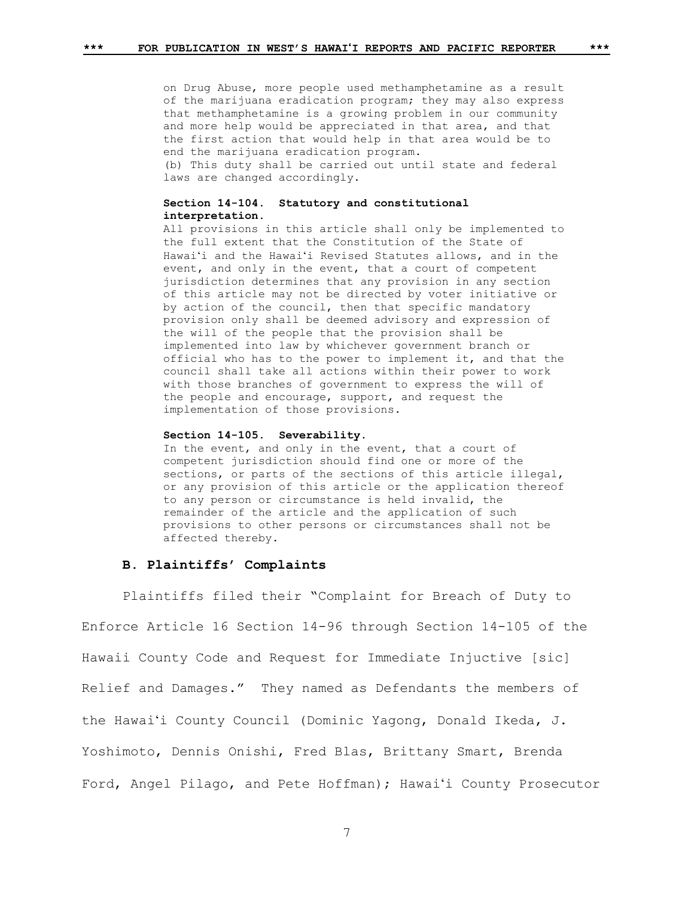on Drug Abuse, more people used methamphetamine as a result of the marijuana eradication program; they may also express that methamphetamine is a growing problem in our community and more help would be appreciated in that area, and that the first action that would help in that area would be to end the marijuana eradication program. (b) This duty shall be carried out until state and federal laws are changed accordingly.

### **Section 14-104. Statutory and constitutional interpretation.**

All provisions in this article shall only be implemented to the full extent that the Constitution of the State of Hawaiʻi and the Hawaiʻi Revised Statutes allows, and in the event, and only in the event, that a court of competent jurisdiction determines that any provision in any section of this article may not be directed by voter initiative or by action of the council, then that specific mandatory provision only shall be deemed advisory and expression of the will of the people that the provision shall be implemented into law by whichever government branch or official who has to the power to implement it, and that the council shall take all actions within their power to work with those branches of government to express the will of the people and encourage, support, and request the implementation of those provisions.

#### **Section 14-105. Severability.**

In the event, and only in the event, that a court of competent jurisdiction should find one or more of the sections, or parts of the sections of this article illegal, or any provision of this article or the application thereof to any person or circumstance is held invalid, the remainder of the article and the application of such provisions to other persons or circumstances shall not be affected thereby.

## **B. Plaintiffs' Complaints**

Plaintiffs filed their "Complaint for Breach of Duty to Enforce Article 16 Section 14-96 through Section 14-105 of the Hawaii County Code and Request for Immediate Injuctive [sic] Relief and Damages." They named as Defendants the members of the Hawaiʻi County Council (Dominic Yagong, Donald Ikeda, J. Yoshimoto, Dennis Onishi, Fred Blas, Brittany Smart, Brenda Ford, Angel Pilago, and Pete Hoffman); Hawaiʻi County Prosecutor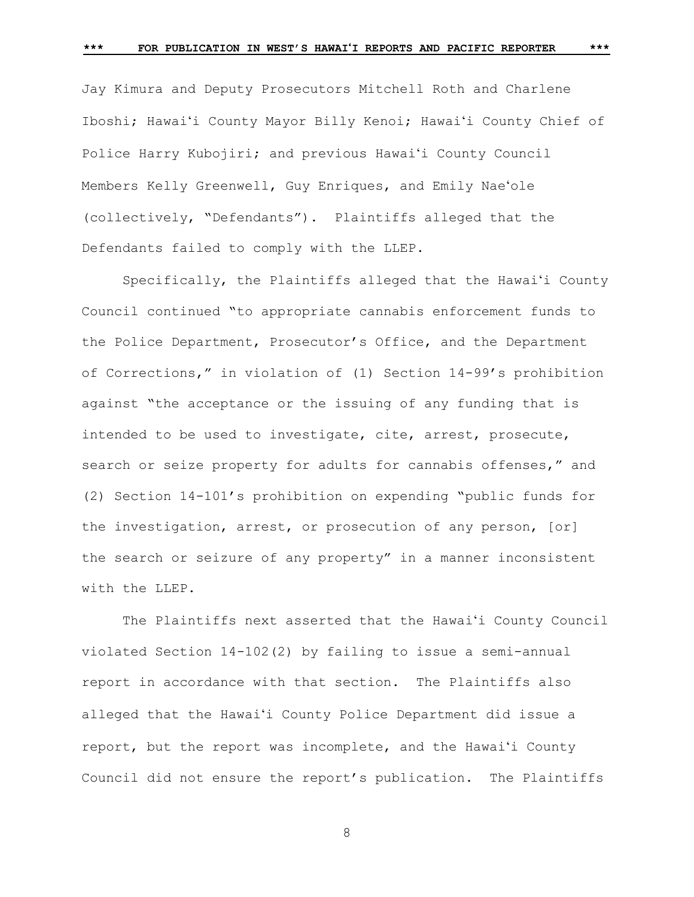Jay Kimura and Deputy Prosecutors Mitchell Roth and Charlene

Iboshi; Hawaiʻi County Mayor Billy Kenoi; Hawaiʻi County Chief of Police Harry Kubojiri; and previous Hawaiʻi County Council Members Kelly Greenwell, Guy Enriques, and Emily Naeʻole (collectively, "Defendants"). Plaintiffs alleged that the Defendants failed to comply with the LLEP.

Specifically, the Plaintiffs alleged that the Hawaiʻi County Council continued "to appropriate cannabis enforcement funds to the Police Department, Prosecutor's Office, and the Department of Corrections," in violation of (1) Section 14-99's prohibition against "the acceptance or the issuing of any funding that is intended to be used to investigate, cite, arrest, prosecute, search or seize property for adults for cannabis offenses," and (2) Section 14-101's prohibition on expending "public funds for the investigation, arrest, or prosecution of any person, [or] the search or seizure of any property" in a manner inconsistent with the LLEP.

The Plaintiffs next asserted that the Hawaiʻi County Council violated Section 14-102(2) by failing to issue a semi-annual report in accordance with that section. The Plaintiffs also alleged that the Hawaiʻi County Police Department did issue a report, but the report was incomplete, and the Hawaiʻi County Council did not ensure the report's publication. The Plaintiffs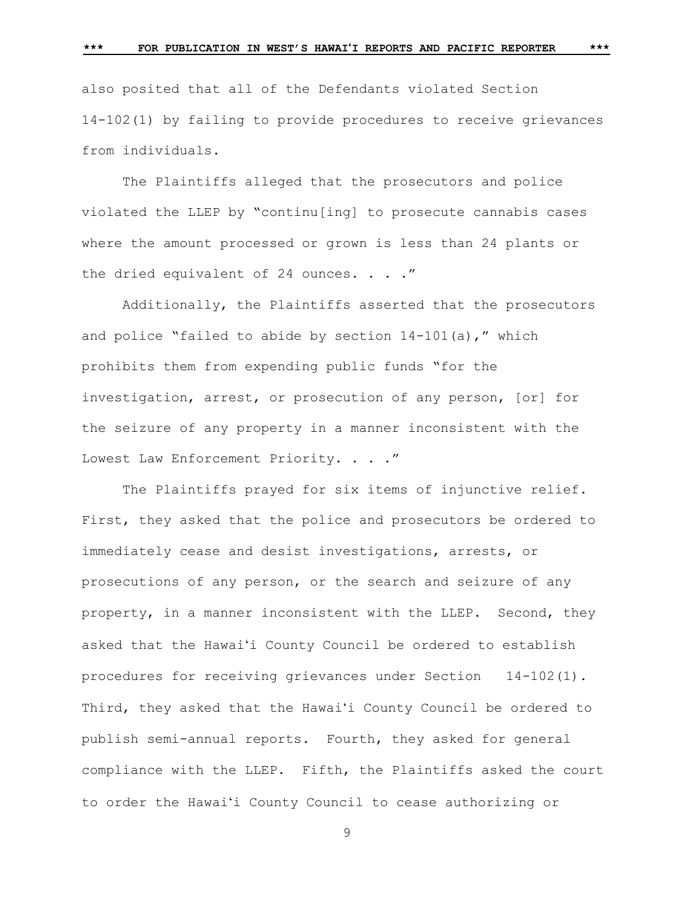also posited that all of the Defendants violated Section 14-102(1) by failing to provide procedures to receive grievances from individuals.

The Plaintiffs alleged that the prosecutors and police violated the LLEP by "continu[ing] to prosecute cannabis cases where the amount processed or grown is less than 24 plants or the dried equivalent of 24 ounces. . . ."

Additionally, the Plaintiffs asserted that the prosecutors and police "failed to abide by section  $14-101(a)$ ," which prohibits them from expending public funds "for the investigation, arrest, or prosecution of any person, [or] for the seizure of any property in a manner inconsistent with the Lowest Law Enforcement Priority. . . . "

The Plaintiffs prayed for six items of injunctive relief. First, they asked that the police and prosecutors be ordered to immediately cease and desist investigations, arrests, or prosecutions of any person, or the search and seizure of any property, in a manner inconsistent with the LLEP. Second, they asked that the Hawaiʻi County Council be ordered to establish procedures for receiving grievances under Section 14-102(1). Third, they asked that the Hawaiʻi County Council be ordered to publish semi-annual reports. Fourth, they asked for general compliance with the LLEP. Fifth, the Plaintiffs asked the court to order the Hawaiʻi County Council to cease authorizing or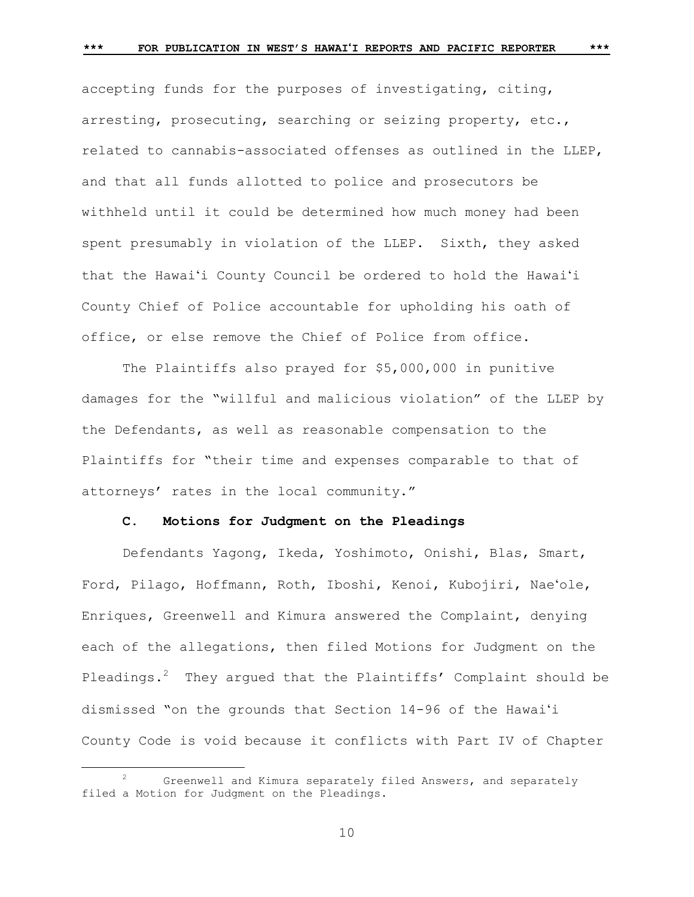accepting funds for the purposes of investigating, citing, arresting, prosecuting, searching or seizing property, etc., related to cannabis-associated offenses as outlined in the LLEP, and that all funds allotted to police and prosecutors be withheld until it could be determined how much money had been spent presumably in violation of the LLEP. Sixth, they asked that the Hawaiʻi County Council be ordered to hold the Hawaiʻi County Chief of Police accountable for upholding his oath of office, or else remove the Chief of Police from office.

The Plaintiffs also prayed for \$5,000,000 in punitive damages for the "willful and malicious violation" of the LLEP by the Defendants, as well as reasonable compensation to the Plaintiffs for "their time and expenses comparable to that of attorneys' rates in the local community."

# **C. Motions for Judgment on the Pleadings**

Defendants Yagong, Ikeda, Yoshimoto, Onishi, Blas, Smart, Ford, Pilago, Hoffmann, Roth, Iboshi, Kenoi, Kubojiri, Naeʻole, Enriques, Greenwell and Kimura answered the Complaint, denying each of the allegations, then filed Motions for Judgment on the Pleadings. $2$  They argued that the Plaintiffs' Complaint should be dismissed "on the grounds that Section 14-96 of the Hawaiʻi County Code is void because it conflicts with Part IV of Chapter

÷.

Greenwell and Kimura separately filed Answers, and separately filed a Motion for Judgment on the Pleadings.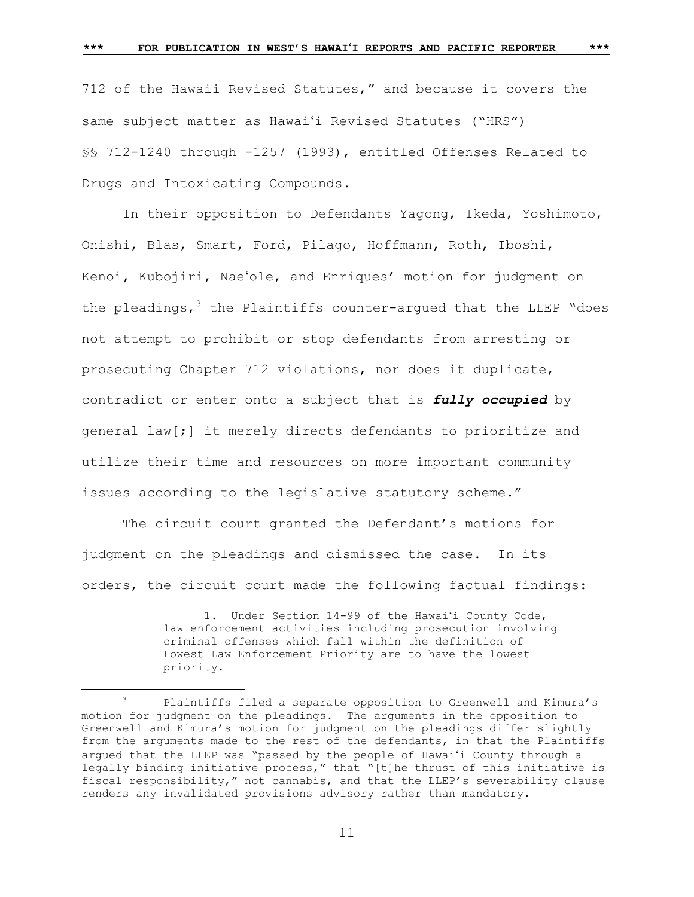712 of the Hawaii Revised Statutes," and because it covers the same subject matter as Hawaiʻi Revised Statutes ("HRS") §§ 712-1240 through -1257 (1993), entitled Offenses Related to Drugs and Intoxicating Compounds.

In their opposition to Defendants Yagong, Ikeda, Yoshimoto, Onishi, Blas, Smart, Ford, Pilago, Hoffmann, Roth, Iboshi, Kenoi, Kubojiri, Naeʻole, and Enriques' motion for judgment on the pleadings,  $3$  the Plaintiffs counter-argued that the LLEP "does not attempt to prohibit or stop defendants from arresting or prosecuting Chapter 712 violations, nor does it duplicate, contradict or enter onto a subject that is *fully occupied* by general law[;] it merely directs defendants to prioritize and utilize their time and resources on more important community issues according to the legislative statutory scheme."

The circuit court granted the Defendant's motions for judgment on the pleadings and dismissed the case. In its orders, the circuit court made the following factual findings:

> 1. Under Section 14-99 of the Hawaiʻi County Code, law enforcement activities including prosecution involving criminal offenses which fall within the definition of Lowest Law Enforcement Priority are to have the lowest priority.

÷.

<sup>&</sup>lt;sup>3</sup> Plaintiffs filed a separate opposition to Greenwell and Kimura's motion for judgment on the pleadings. The arguments in the opposition to Greenwell and Kimura's motion for judgment on the pleadings differ slightly from the arguments made to the rest of the defendants, in that the Plaintiffs argued that the LLEP was "passed by the people of Hawaiʻi County through a legally binding initiative process," that "[t]he thrust of this initiative is fiscal responsibility," not cannabis, and that the LLEP's severability clause renders any invalidated provisions advisory rather than mandatory.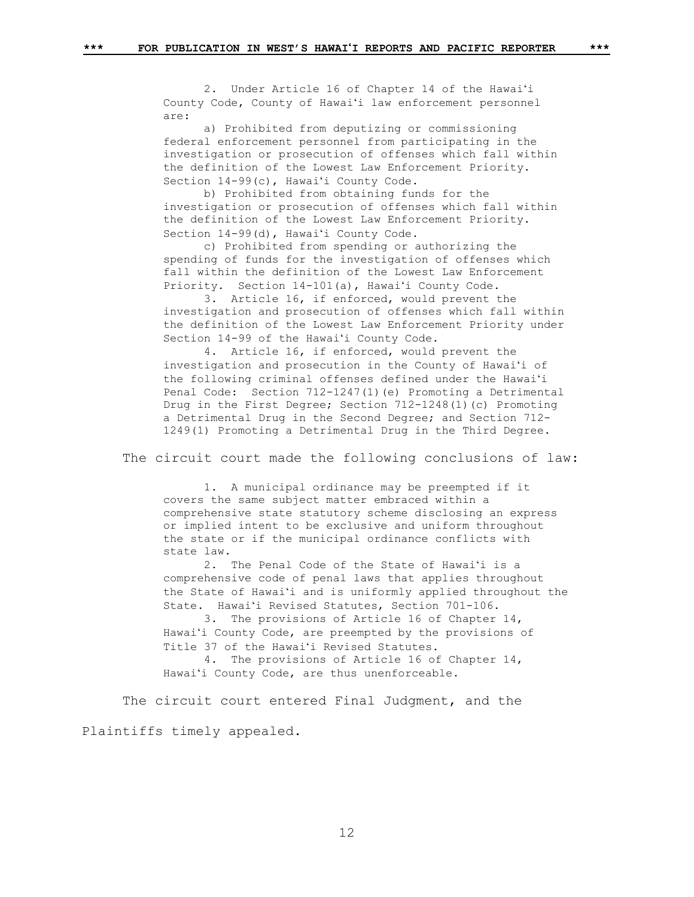2. Under Article 16 of Chapter 14 of the Hawaiʻi County Code, County of Hawaiʻi law enforcement personnel are:

a) Prohibited from deputizing or commissioning federal enforcement personnel from participating in the investigation or prosecution of offenses which fall within the definition of the Lowest Law Enforcement Priority. Section 14-99(c), Hawaiʻi County Code.

b) Prohibited from obtaining funds for the investigation or prosecution of offenses which fall within the definition of the Lowest Law Enforcement Priority. Section 14-99(d), Hawaiʻi County Code.

c) Prohibited from spending or authorizing the spending of funds for the investigation of offenses which fall within the definition of the Lowest Law Enforcement Priority. Section 14-101(a), Hawaiʻi County Code.

3. Article 16, if enforced, would prevent the investigation and prosecution of offenses which fall within the definition of the Lowest Law Enforcement Priority under Section 14-99 of the Hawaiʻi County Code.

4. Article 16, if enforced, would prevent the investigation and prosecution in the County of Hawaiʻi of the following criminal offenses defined under the Hawaiʻi Penal Code: Section 712-1247(1)(e) Promoting a Detrimental Drug in the First Degree; Section 712-1248(1)(c) Promoting a Detrimental Drug in the Second Degree; and Section 712- 1249(1) Promoting a Detrimental Drug in the Third Degree.

The circuit court made the following conclusions of law:

1. A municipal ordinance may be preempted if it covers the same subject matter embraced within a comprehensive state statutory scheme disclosing an express or implied intent to be exclusive and uniform throughout the state or if the municipal ordinance conflicts with state law.

2. The Penal Code of the State of Hawaiʻi is a comprehensive code of penal laws that applies throughout the State of Hawaiʻi and is uniformly applied throughout the State. Hawaiʻi Revised Statutes, Section 701-106.

3. The provisions of Article 16 of Chapter 14, Hawaiʻi County Code, are preempted by the provisions of Title 37 of the Hawaiʻi Revised Statutes.

4. The provisions of Article 16 of Chapter 14, Hawaiʻi County Code, are thus unenforceable.

The circuit court entered Final Judgment, and the Plaintiffs timely appealed.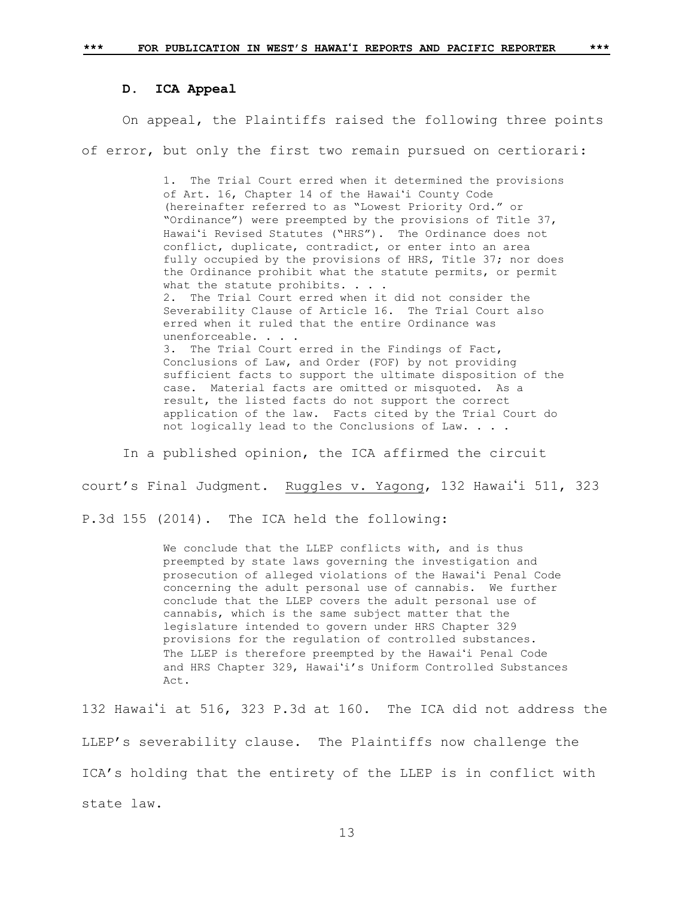## **D. ICA Appeal**

On appeal, the Plaintiffs raised the following three points of error, but only the first two remain pursued on certiorari:

> 1. The Trial Court erred when it determined the provisions of Art. 16, Chapter 14 of the Hawaiʻi County Code (hereinafter referred to as "Lowest Priority Ord." or "Ordinance") were preempted by the provisions of Title 37, Hawaiʻi Revised Statutes ("HRS"). The Ordinance does not conflict, duplicate, contradict, or enter into an area fully occupied by the provisions of HRS, Title 37; nor does the Ordinance prohibit what the statute permits, or permit what the statute prohibits. . . 2. The Trial Court erred when it did not consider the Severability Clause of Article 16. The Trial Court also erred when it ruled that the entire Ordinance was unenforceable. . . . 3. The Trial Court erred in the Findings of Fact, Conclusions of Law, and Order (FOF) by not providing sufficient facts to support the ultimate disposition of the case. Material facts are omitted or misquoted. As a result, the listed facts do not support the correct application of the law. Facts cited by the Trial Court do not logically lead to the Conclusions of Law. . . .

In a published opinion, the ICA affirmed the circuit

court's Final Judgment. Ruggles v. Yagong, 132 Hawaii 511, 323

P.3d 155 (2014). The ICA held the following:

We conclude that the LLEP conflicts with, and is thus preempted by state laws governing the investigation and prosecution of alleged violations of the Hawaiʻi Penal Code concerning the adult personal use of cannabis. We further conclude that the LLEP covers the adult personal use of cannabis, which is the same subject matter that the legislature intended to govern under HRS Chapter 329 provisions for the regulation of controlled substances. The LLEP is therefore preempted by the Hawaiʻi Penal Code and HRS Chapter 329, Hawaiʻi's Uniform Controlled Substances Act.

132 Hawai'i at 516, 323 P.3d at 160. The ICA did not address the LLEP's severability clause. The Plaintiffs now challenge the ICA's holding that the entirety of the LLEP is in conflict with state law.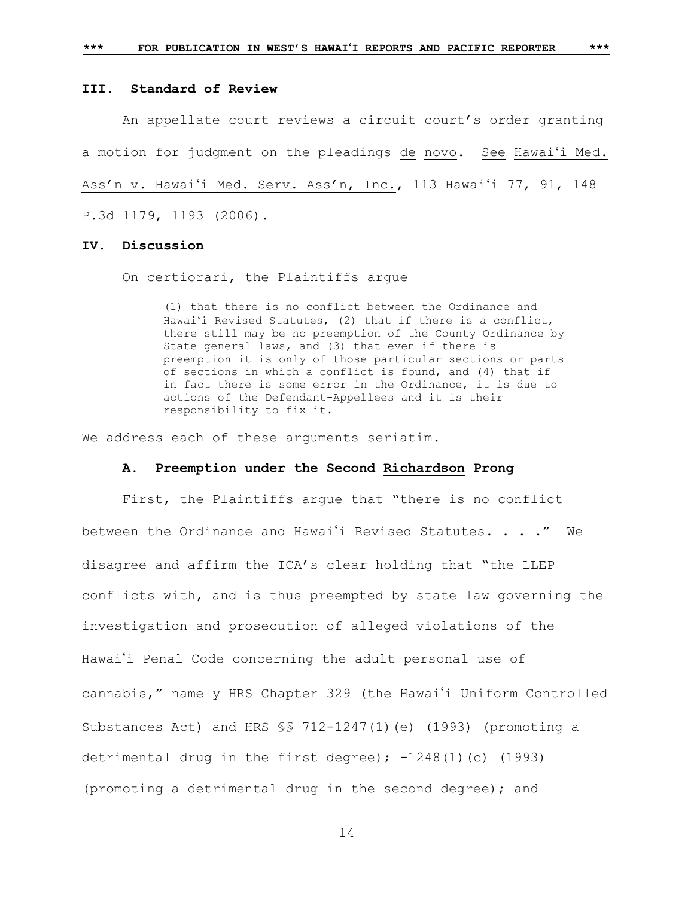**III. Standard of Review**

An appellate court reviews a circuit court's order granting a motion for judgment on the pleadings de novo. See Hawaiʻi Med. Ass'n v. Hawaiʻi Med. Serv. Ass'n, Inc., 113 Hawaiʻi 77, 91, 148 P.3d 1179, 1193 (2006).

# **IV. Discussion**

On certiorari, the Plaintiffs argue

(1) that there is no conflict between the Ordinance and Hawaiʻi Revised Statutes, (2) that if there is a conflict, there still may be no preemption of the County Ordinance by State general laws, and (3) that even if there is preemption it is only of those particular sections or parts of sections in which a conflict is found, and (4) that if in fact there is some error in the Ordinance, it is due to actions of the Defendant-Appellees and it is their responsibility to fix it.

We address each of these arguments seriatim.

## **A. Preemption under the Second Richardson Prong**

First, the Plaintiffs argue that "there is no conflict between the Ordinance and Hawai'i Revised Statutes. . . ." We disagree and affirm the ICA's clear holding that "the LLEP conflicts with, and is thus preempted by state law governing the investigation and prosecution of alleged violations of the Hawai'i Penal Code concerning the adult personal use of cannabis," namely HRS Chapter 329 (the Hawai'i Uniform Controlled Substances Act) and HRS  $\S$  712-1247(1)(e) (1993) (promoting a detrimental drug in the first degree);  $-1248(1)(c)$  (1993) (promoting a detrimental drug in the second degree); and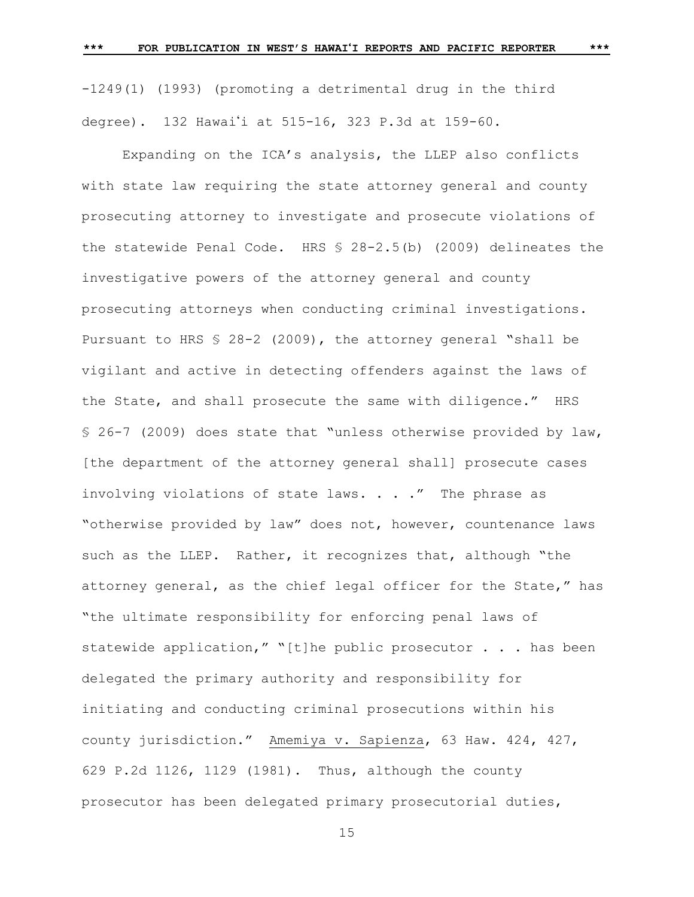-1249(1) (1993) (promoting a detrimental drug in the third degree). 132 Hawai'i at 515-16, 323 P.3d at 159-60.

Expanding on the ICA's analysis, the LLEP also conflicts with state law requiring the state attorney general and county prosecuting attorney to investigate and prosecute violations of the statewide Penal Code. HRS § 28-2.5(b) (2009) delineates the investigative powers of the attorney general and county prosecuting attorneys when conducting criminal investigations. Pursuant to HRS § 28-2 (2009), the attorney general "shall be vigilant and active in detecting offenders against the laws of the State, and shall prosecute the same with diligence." HRS § 26-7 (2009) does state that "unless otherwise provided by law, [the department of the attorney general shall] prosecute cases involving violations of state laws. . . ." The phrase as "otherwise provided by law" does not, however, countenance laws such as the LLEP. Rather, it recognizes that, although "the attorney general, as the chief legal officer for the State," has "the ultimate responsibility for enforcing penal laws of statewide application," "[t]he public prosecutor . . . has been delegated the primary authority and responsibility for initiating and conducting criminal prosecutions within his county jurisdiction." Amemiya v. Sapienza, 63 Haw. 424, 427, 629 P.2d 1126, 1129 (1981). Thus, although the county prosecutor has been delegated primary prosecutorial duties,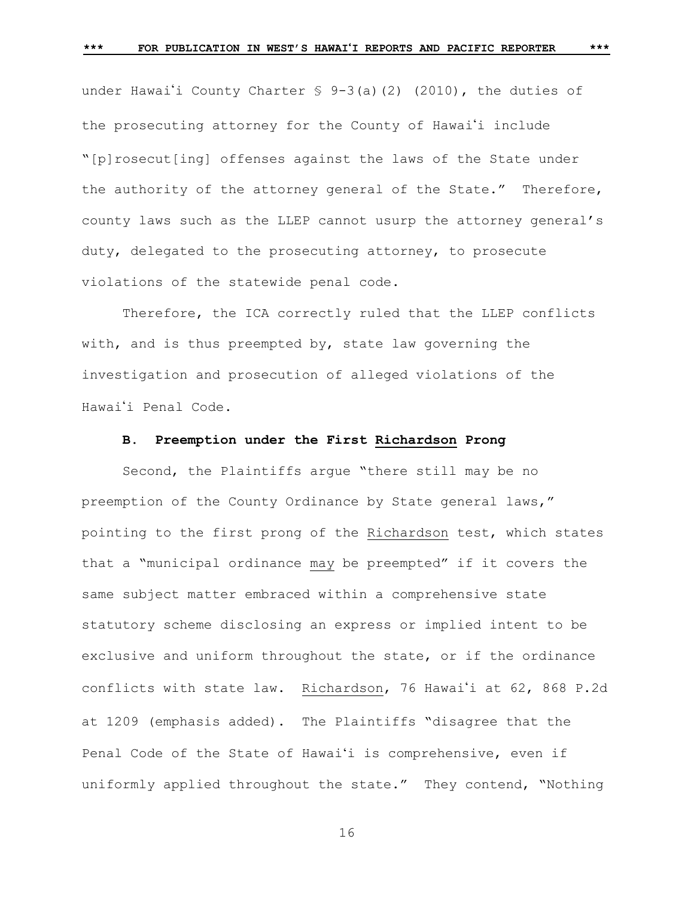under Hawai'i County Charter  $\frac{1}{5}$  9-3(a)(2) (2010), the duties of the prosecuting attorney for the County of Hawai'i include "[p]rosecut[ing] offenses against the laws of the State under the authority of the attorney general of the State." Therefore, county laws such as the LLEP cannot usurp the attorney general's

duty, delegated to the prosecuting attorney, to prosecute violations of the statewide penal code.

Therefore, the ICA correctly ruled that the LLEP conflicts with, and is thus preempted by, state law governing the investigation and prosecution of alleged violations of the Hawai'i Penal Code.

# **B. Preemption under the First Richardson Prong**

Second, the Plaintiffs argue "there still may be no preemption of the County Ordinance by State general laws," pointing to the first prong of the Richardson test, which states that a "municipal ordinance may be preempted" if it covers the same subject matter embraced within a comprehensive state statutory scheme disclosing an express or implied intent to be exclusive and uniform throughout the state, or if the ordinance conflicts with state law. Richardson, 76 Hawai'i at 62, 868 P.2d at 1209 (emphasis added). The Plaintiffs "disagree that the Penal Code of the State of Hawaiʻi is comprehensive, even if uniformly applied throughout the state." They contend, "Nothing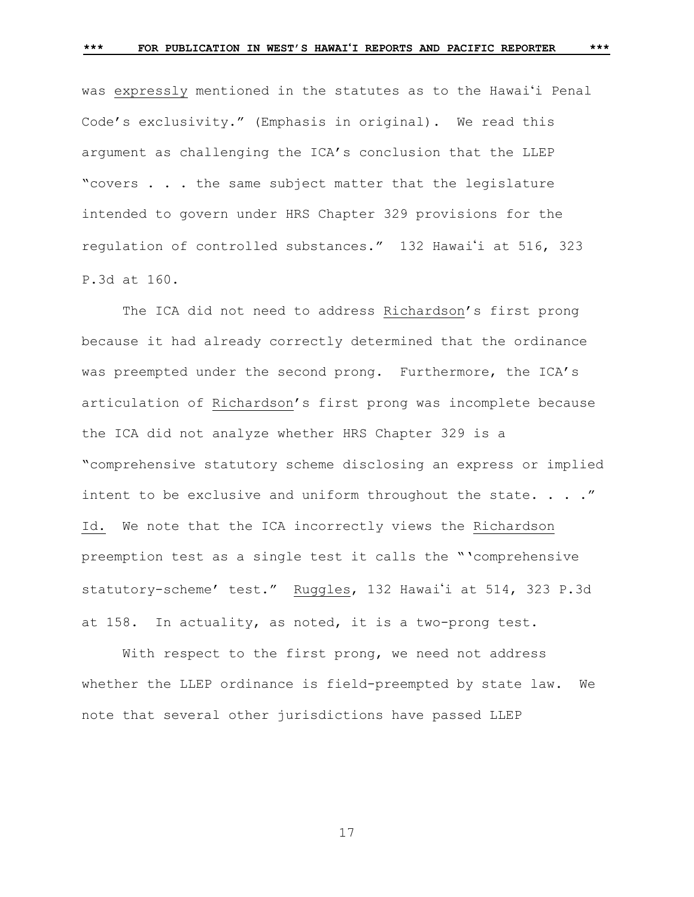was expressly mentioned in the statutes as to the Hawaiʻi Penal Code's exclusivity." (Emphasis in original). We read this argument as challenging the ICA's conclusion that the LLEP "covers . . . the same subject matter that the legislature intended to govern under HRS Chapter 329 provisions for the regulation of controlled substances." 132 Hawai'i at 516, 323 P.3d at 160.

The ICA did not need to address Richardson's first prong because it had already correctly determined that the ordinance was preempted under the second prong. Furthermore, the ICA's articulation of Richardson's first prong was incomplete because the ICA did not analyze whether HRS Chapter 329 is a "comprehensive statutory scheme disclosing an express or implied intent to be exclusive and uniform throughout the state. . . . " Id. We note that the ICA incorrectly views the Richardson preemption test as a single test it calls the "'comprehensive statutory-scheme' test." Ruggles, 132 Hawai'i at 514, 323 P.3d at 158. In actuality, as noted, it is a two-prong test.

With respect to the first prong, we need not address whether the LLEP ordinance is field-preempted by state law. We note that several other jurisdictions have passed LLEP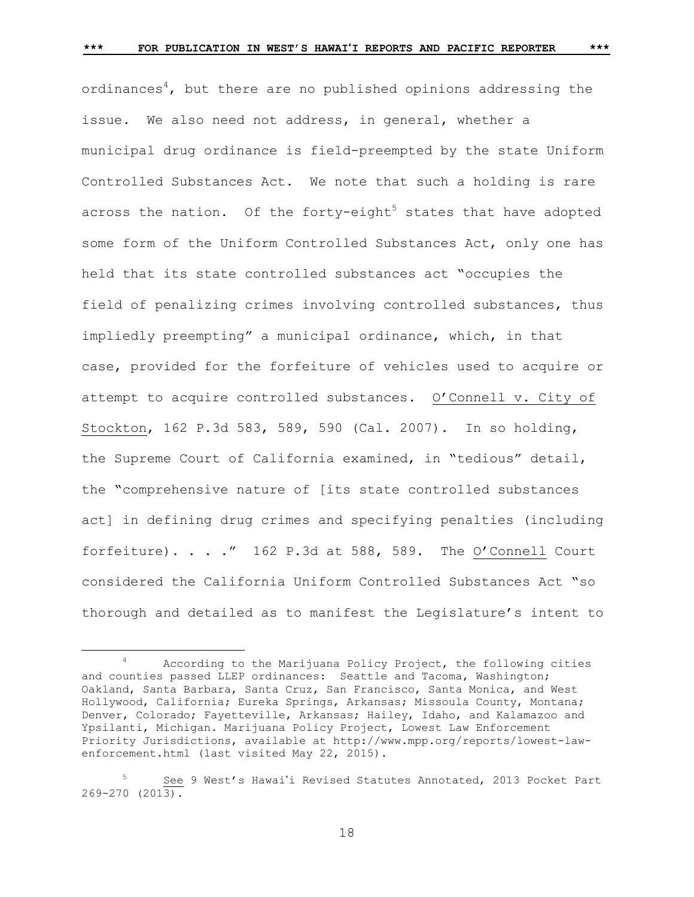ordinances<sup>4</sup>, but there are no published opinions addressing the issue. We also need not address, in general, whether a municipal drug ordinance is field-preempted by the state Uniform Controlled Substances Act. We note that such a holding is rare across the nation. Of the forty-eight<sup>5</sup> states that have adopted some form of the Uniform Controlled Substances Act, only one has held that its state controlled substances act "occupies the field of penalizing crimes involving controlled substances, thus impliedly preempting" a municipal ordinance, which, in that case, provided for the forfeiture of vehicles used to acquire or attempt to acquire controlled substances. O'Connell v. City of Stockton, 162 P.3d 583, 589, 590 (Cal. 2007). In so holding, the Supreme Court of California examined, in "tedious" detail, the "comprehensive nature of [its state controlled substances act] in defining drug crimes and specifying penalties (including forfeiture). . . ." 162 P.3d at 588, 589. The O'Connell Court considered the California Uniform Controlled Substances Act "so thorough and detailed as to manifest the Legislature's intent to

L,

<sup>4</sup> According to the Marijuana Policy Project, the following cities and counties passed LLEP ordinances: Seattle and Tacoma, Washington; Oakland, Santa Barbara, Santa Cruz, San Francisco, Santa Monica, and West Hollywood, California; Eureka Springs, Arkansas; Missoula County, Montana; Denver, Colorado; Fayetteville, Arkansas; Hailey, Idaho, and Kalamazoo and Ypsilanti, Michigan. Marijuana Policy Project, Lowest Law Enforcement Priority Jurisdictions, available at [http://www.mpp.org/reports/lowest-law](http://www.mpp.org/reports/lowest-law-enforcement.html)[enforcement.html](http://www.mpp.org/reports/lowest-law-enforcement.html) (last visited May 22, 2015).

<sup>5</sup> See 9 West's Hawaii Revised Statutes Annotated, 2013 Pocket Part 269-270 (2013).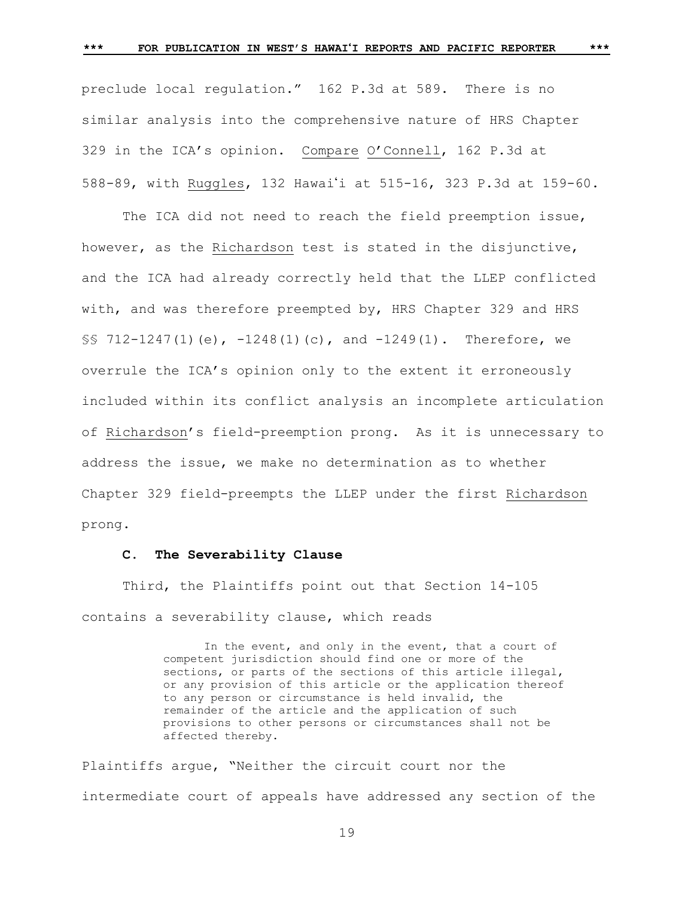preclude local regulation." 162 P.3d at 589. There is no similar analysis into the comprehensive nature of HRS Chapter 329 in the ICA's opinion. Compare O'Connell, 162 P.3d at 588-89, with Ruggles, 132 Hawaii at 515-16, 323 P.3d at 159-60.

The ICA did not need to reach the field preemption issue, however, as the Richardson test is stated in the disjunctive, and the ICA had already correctly held that the LLEP conflicted with, and was therefore preempted by, HRS Chapter 329 and HRS  $\S$ § 712-1247(1)(e), -1248(1)(c), and -1249(1). Therefore, we overrule the ICA's opinion only to the extent it erroneously included within its conflict analysis an incomplete articulation of Richardson's field-preemption prong. As it is unnecessary to address the issue, we make no determination as to whether Chapter 329 field-preempts the LLEP under the first Richardson prong.

## **C. The Severability Clause**

Third, the Plaintiffs point out that Section 14-105 contains a severability clause, which reads

> In the event, and only in the event, that a court of competent jurisdiction should find one or more of the sections, or parts of the sections of this article illegal, or any provision of this article or the application thereof to any person or circumstance is held invalid, the remainder of the article and the application of such provisions to other persons or circumstances shall not be affected thereby.

Plaintiffs argue, "Neither the circuit court nor the intermediate court of appeals have addressed any section of the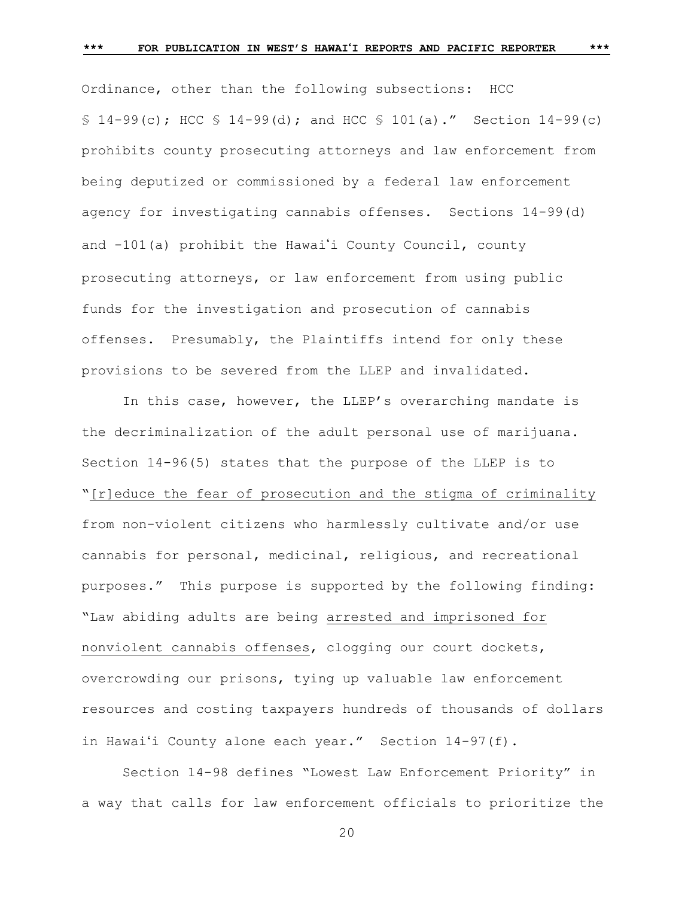Ordinance, other than the following subsections: HCC  $$ 14-99(c); HCC $ 14-99(d); and HCC $ 101(a).'' Section 14-99(c)$ prohibits county prosecuting attorneys and law enforcement from being deputized or commissioned by a federal law enforcement agency for investigating cannabis offenses. Sections 14-99(d) and  $-101(a)$  prohibit the Hawai'i County Council, county prosecuting attorneys, or law enforcement from using public funds for the investigation and prosecution of cannabis offenses. Presumably, the Plaintiffs intend for only these provisions to be severed from the LLEP and invalidated.

In this case, however, the LLEP's overarching mandate is the decriminalization of the adult personal use of marijuana. Section 14-96(5) states that the purpose of the LLEP is to "[r]educe the fear of prosecution and the stigma of criminality from non-violent citizens who harmlessly cultivate and/or use cannabis for personal, medicinal, religious, and recreational purposes." This purpose is supported by the following finding: "Law abiding adults are being arrested and imprisoned for nonviolent cannabis offenses, clogging our court dockets, overcrowding our prisons, tying up valuable law enforcement resources and costing taxpayers hundreds of thousands of dollars in Hawaiʻi County alone each year." Section 14-97(f).

Section 14-98 defines "Lowest Law Enforcement Priority" in a way that calls for law enforcement officials to prioritize the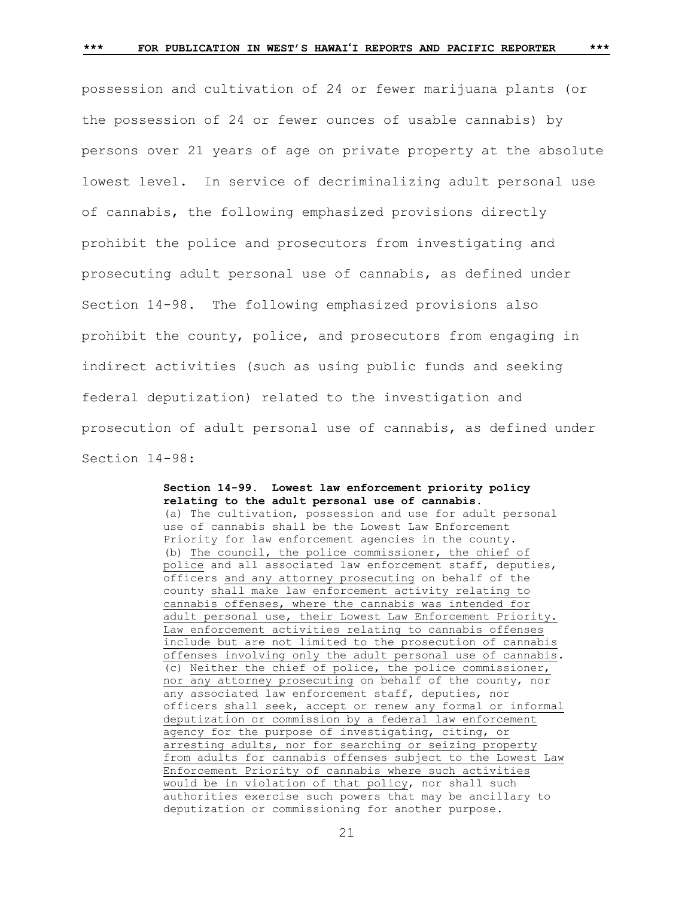possession and cultivation of 24 or fewer marijuana plants (or the possession of 24 or fewer ounces of usable cannabis) by persons over 21 years of age on private property at the absolute lowest level. In service of decriminalizing adult personal use of cannabis, the following emphasized provisions directly prohibit the police and prosecutors from investigating and prosecuting adult personal use of cannabis, as defined under Section 14-98. The following emphasized provisions also prohibit the county, police, and prosecutors from engaging in indirect activities (such as using public funds and seeking federal deputization) related to the investigation and prosecution of adult personal use of cannabis, as defined under Section 14-98:

# **Section 14-99. Lowest law enforcement priority policy relating to the adult personal use of cannabis.** (a) The cultivation, possession and use for adult personal use of cannabis shall be the Lowest Law Enforcement Priority for law enforcement agencies in the county.

(b) The council, the police commissioner, the chief of police and all associated law enforcement staff, deputies, officers and any attorney prosecuting on behalf of the county shall make law enforcement activity relating to cannabis offenses, where the cannabis was intended for adult personal use, their Lowest Law Enforcement Priority. Law enforcement activities relating to cannabis offenses include but are not limited to the prosecution of cannabis offenses involving only the adult personal use of cannabis. (c) Neither the chief of police, the police commissioner, nor any attorney prosecuting on behalf of the county, nor any associated law enforcement staff, deputies, nor officers shall seek, accept or renew any formal or informal deputization or commission by a federal law enforcement agency for the purpose of investigating, citing, or arresting adults, nor for searching or seizing property from adults for cannabis offenses subject to the Lowest Law Enforcement Priority of cannabis where such activities would be in violation of that policy, nor shall such authorities exercise such powers that may be ancillary to deputization or commissioning for another purpose.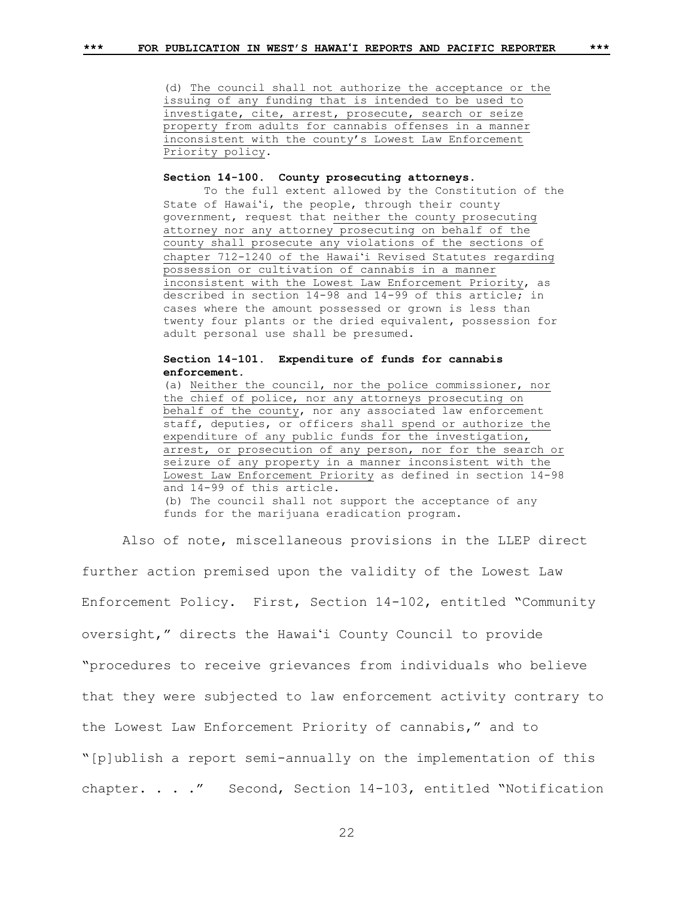(d) The council shall not authorize the acceptance or the issuing of any funding that is intended to be used to investigate, cite, arrest, prosecute, search or seize property from adults for cannabis offenses in a manner inconsistent with the county's Lowest Law Enforcement

Priority policy.

## **Section 14-100. County prosecuting attorneys.**

To the full extent allowed by the Constitution of the State of Hawaiʻi, the people, through their county government, request that neither the county prosecuting attorney nor any attorney prosecuting on behalf of the county shall prosecute any violations of the sections of chapter 712-1240 of the Hawaiʻi Revised Statutes regarding possession or cultivation of cannabis in a manner inconsistent with the Lowest Law Enforcement Priority, as described in section 14-98 and 14-99 of this article; in cases where the amount possessed or grown is less than twenty four plants or the dried equivalent, possession for adult personal use shall be presumed.

# **Section 14-101. Expenditure of funds for cannabis enforcement.**

(a) Neither the council, nor the police commissioner, nor the chief of police, nor any attorneys prosecuting on behalf of the county, nor any associated law enforcement staff, deputies, or officers shall spend or authorize the expenditure of any public funds for the investigation, arrest, or prosecution of any person, nor for the search or seizure of any property in a manner inconsistent with the Lowest Law Enforcement Priority as defined in section 14-98 and 14-99 of this article. (b) The council shall not support the acceptance of any funds for the marijuana eradication program.

Also of note, miscellaneous provisions in the LLEP direct

further action premised upon the validity of the Lowest Law Enforcement Policy. First, Section 14-102, entitled "Community oversight," directs the Hawaiʻi County Council to provide "procedures to receive grievances from individuals who believe that they were subjected to law enforcement activity contrary to the Lowest Law Enforcement Priority of cannabis," and to "[p]ublish a report semi-annually on the implementation of this chapter. . . ." Second, Section 14-103, entitled "Notification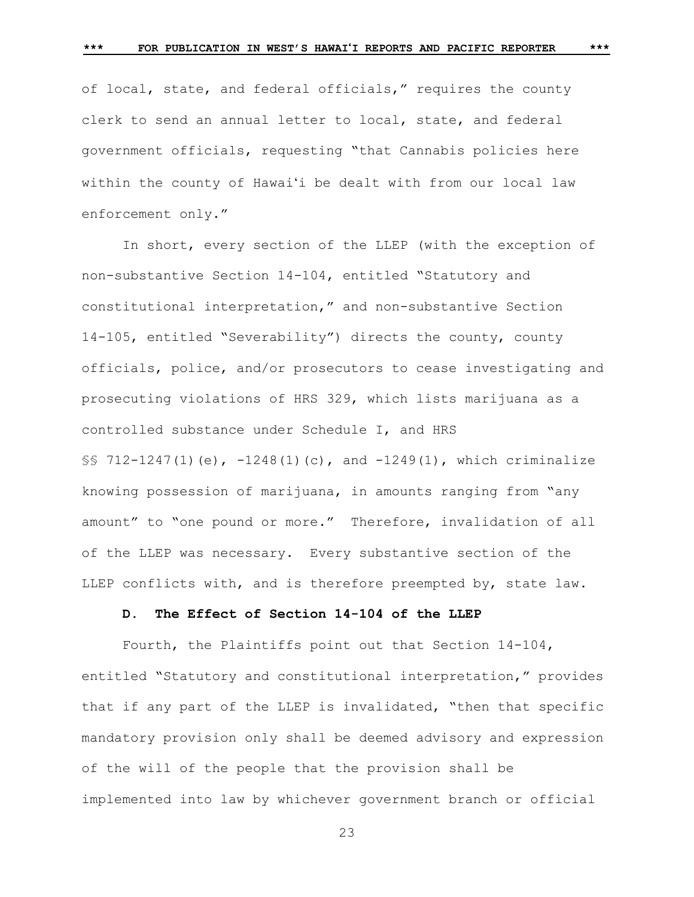of local, state, and federal officials," requires the county clerk to send an annual letter to local, state, and federal government officials, requesting "that Cannabis policies here within the county of Hawaiʻi be dealt with from our local law enforcement only."

In short, every section of the LLEP (with the exception of non-substantive Section 14-104, entitled "Statutory and constitutional interpretation," and non-substantive Section 14-105, entitled "Severability") directs the county, county officials, police, and/or prosecutors to cease investigating and prosecuting violations of HRS 329, which lists marijuana as a controlled substance under Schedule I, and HRS §§ 712-1247(1)(e), -1248(1)(c), and -1249(1), which criminalize knowing possession of marijuana, in amounts ranging from "any amount" to "one pound or more." Therefore, invalidation of all of the LLEP was necessary. Every substantive section of the LLEP conflicts with, and is therefore preempted by, state law.

# **D. The Effect of Section 14-104 of the LLEP**

Fourth, the Plaintiffs point out that Section 14-104, entitled "Statutory and constitutional interpretation," provides that if any part of the LLEP is invalidated, "then that specific mandatory provision only shall be deemed advisory and expression of the will of the people that the provision shall be implemented into law by whichever government branch or official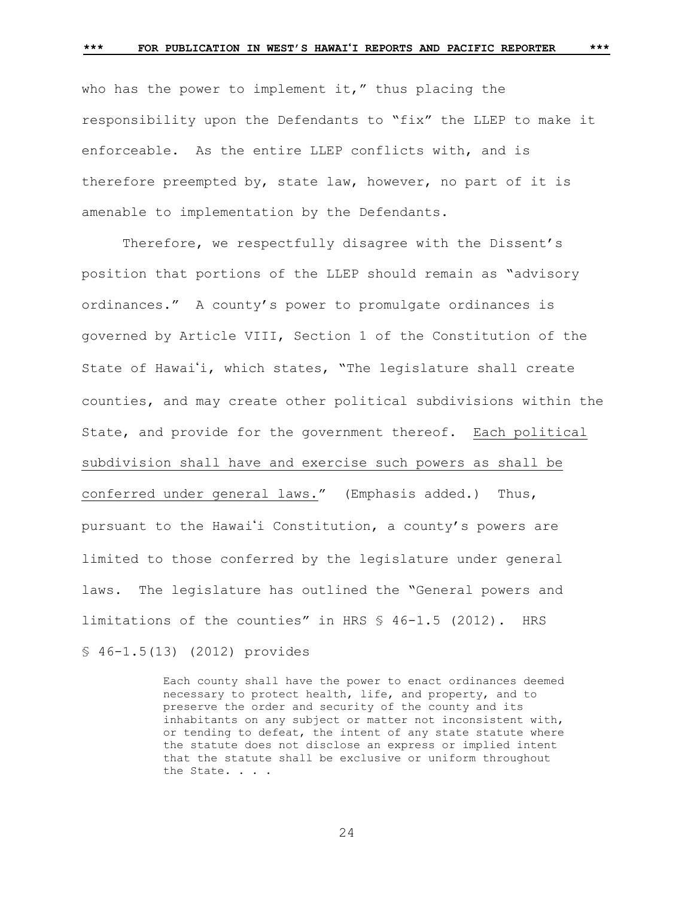who has the power to implement it," thus placing the responsibility upon the Defendants to "fix" the LLEP to make it enforceable. As the entire LLEP conflicts with, and is therefore preempted by, state law, however, no part of it is amenable to implementation by the Defendants.

Therefore, we respectfully disagree with the Dissent's position that portions of the LLEP should remain as "advisory ordinances." A county's power to promulgate ordinances is governed by Article VIII, Section 1 of the Constitution of the State of Hawai'i, which states, "The legislature shall create counties, and may create other political subdivisions within the State, and provide for the government thereof. Each political subdivision shall have and exercise such powers as shall be conferred under general laws." (Emphasis added.) Thus, pursuant to the Hawai'i Constitution, a county's powers are limited to those conferred by the legislature under general laws. The legislature has outlined the "General powers and limitations of the counties" in HRS § 46-1.5 (2012). HRS § 46-1.5(13) (2012) provides

> Each county shall have the power to enact ordinances deemed necessary to protect health, life, and property, and to preserve the order and security of the county and its inhabitants on any subject or matter not inconsistent with, or tending to defeat, the intent of any state statute where the statute does not disclose an express or implied intent that the statute shall be exclusive or uniform throughout the State. . . .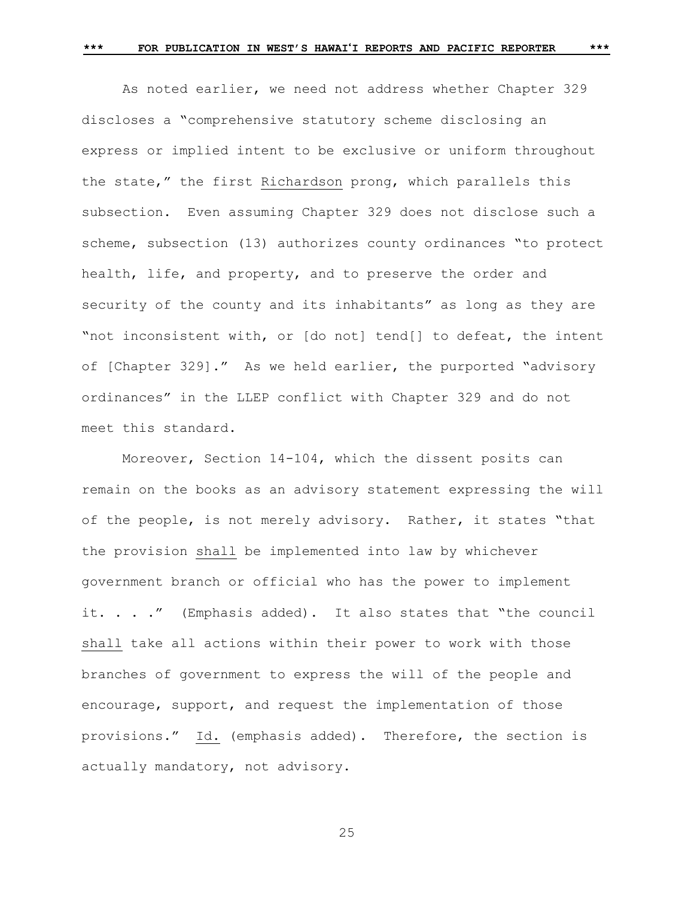As noted earlier, we need not address whether Chapter 329 discloses a "comprehensive statutory scheme disclosing an express or implied intent to be exclusive or uniform throughout the state," the first Richardson prong, which parallels this subsection. Even assuming Chapter 329 does not disclose such a scheme, subsection (13) authorizes county ordinances "to protect health, life, and property, and to preserve the order and security of the county and its inhabitants" as long as they are "not inconsistent with, or [do not] tend[] to defeat, the intent of [Chapter 329]." As we held earlier, the purported "advisory ordinances" in the LLEP conflict with Chapter 329 and do not meet this standard.

Moreover, Section 14-104, which the dissent posits can remain on the books as an advisory statement expressing the will of the people, is not merely advisory. Rather, it states "that the provision shall be implemented into law by whichever government branch or official who has the power to implement it. . . ." (Emphasis added). It also states that "the council shall take all actions within their power to work with those branches of government to express the will of the people and encourage, support, and request the implementation of those provisions." Id. (emphasis added). Therefore, the section is actually mandatory, not advisory.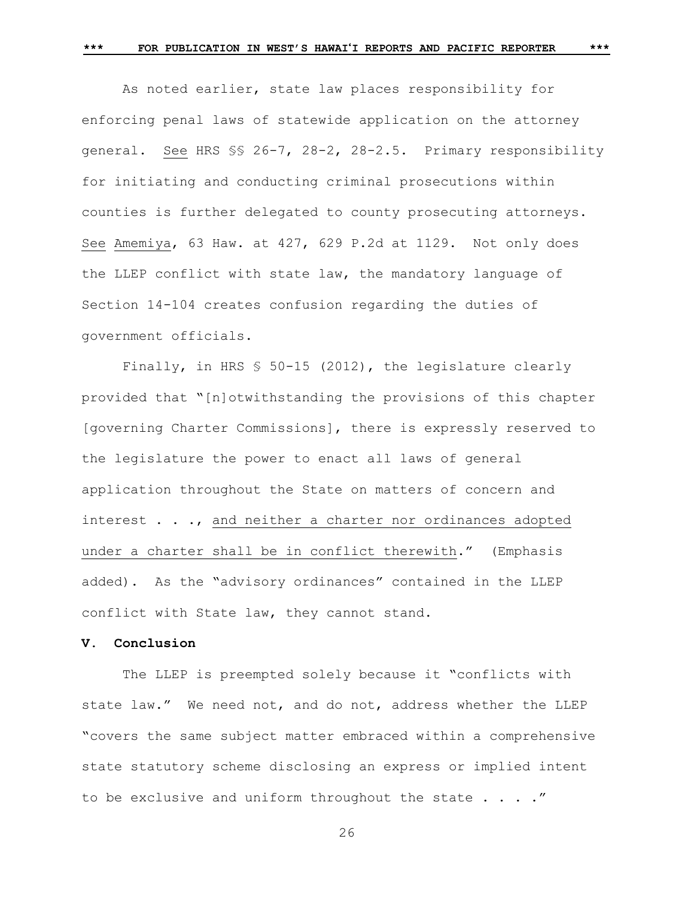As noted earlier, state law places responsibility for enforcing penal laws of statewide application on the attorney general. See HRS §§ 26-7, 28-2, 28-2.5. Primary responsibility for initiating and conducting criminal prosecutions within counties is further delegated to county prosecuting attorneys. See Amemiya, 63 Haw. at 427, 629 P.2d at 1129. Not only does the LLEP conflict with state law, the mandatory language of Section 14-104 creates confusion regarding the duties of government officials.

Finally, in HRS § 50-15 (2012), the legislature clearly provided that "[n]otwithstanding the provisions of this chapter [governing Charter Commissions], there is expressly reserved to the legislature the power to enact all laws of general application throughout the State on matters of concern and interest . . ., and neither a charter nor ordinances adopted under a charter shall be in conflict therewith." (Emphasis added). As the "advisory ordinances" contained in the LLEP conflict with State law, they cannot stand.

# **V. Conclusion**

The LLEP is preempted solely because it "conflicts with state law." We need not, and do not, address whether the LLEP "covers the same subject matter embraced within a comprehensive state statutory scheme disclosing an express or implied intent to be exclusive and uniform throughout the state  $\ldots$ ."